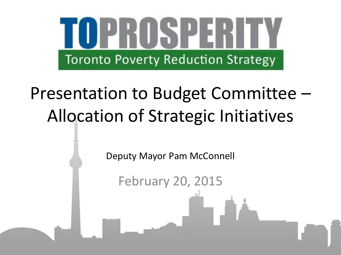

# Presentation to Budget Committee – Allocation of Strategic Initiatives

Deputy Mayor Pam McConnell

February 20, 2015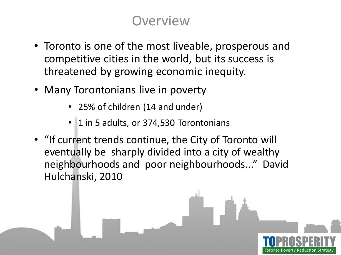## **Overview**

- Toronto is one of the most liveable, prosperous and competitive cities in the world, but its success is threatened by growing economic inequity.
- Many Torontonians live in poverty
	- 25% of children (14 and under)
	- 1 in 5 adults, or 374,530 Torontonians
- "If current trends continue, the City of Toronto will eventually be sharply divided into a city of wealthy neighbourhoods and poor neighbourhoods..." David Hulchanski, 2010

Toronto Poverty Reduction Strategy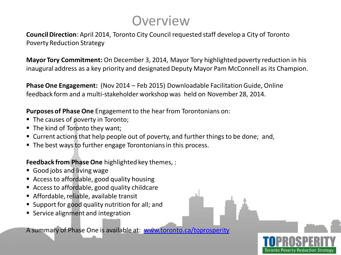## **Overview**

**Council Direction**: April 2014, Toronto City Council requested staff develop a City of Toronto Poverty Reduction Strategy

**Mayor Tory Commitment:** On December 3, 2014, Mayor Tory highlighted poverty reduction in his inaugural address as a key priority and designated Deputy Mayor Pam McConnell as its Champion.

**Phase One Engagement:** (Nov 2014 – Feb 2015) Downloadable Facilitation Guide, Online feedback form and a multi-stakeholder workshop was held on November 28, 2014.

**Purposes of Phase One** Engagement to the hear from Torontonians on:

- The causes of poverty in Toronto;
- The kind of Toronto they want;
- Current actions that help people out of poverty, and further things to be done; and,
- The best ways to further engage Torontonians in this process.

### **Feedback from Phase One** highlighted key themes, :

- Good jobs and living wage
- Access to affordable, good quality housing
- Access to affordable, good quality childcare
- Affordable, reliable, available transit
- Support for good quality nutrition for all; and
- **Service alignment and integration**

A summary of Phase One is available at: [www.toronto.ca/toprosperity](http://www.toronto.ca/toprosperity)

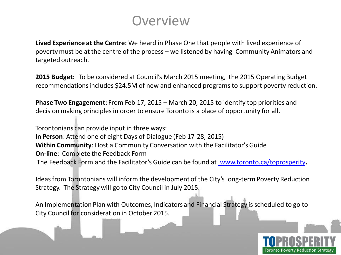

**Lived Experience at the Centre:** We heard in Phase One that people with lived experience of poverty must be at the centre of the process – we listened by having Community Animators and targeted outreach.

**2015 Budget:** To be considered at Council's March 2015 meeting, the 2015 Operating Budget recommendations includes \$24.5M of new and enhanced programs to support poverty reduction.

**Phase Two Engagement**: From Feb 17, 2015 – March 20, 2015 to identify top priorities and decision making principles in order to ensure Toronto is a place of opportunity for all.

Torontonians can provide input in three ways: **In Person**: Attend one of eight Days of Dialogue (Feb 17-28, 2015) **Within Community**: Host a Community Conversation with the Facilitator's Guide **On-line**: Complete the Feedback Form The Feedback Form and the Facilitator's Guide can be found at [www.toronto.ca/toprosperity](file:///C:/Users/dcampbe6/AppData/Local/Temp/XPgrpwise/www.toronto.ca/toprosperity)**.**

Ideas from Torontonians will inform the development of the City's long-term Poverty Reduction Strategy. The Strategy will go to City Council in July 2015.

An Implementation Plan with Outcomes, Indicators and Financial Strategy is scheduled to go to City Council for consideration in October 2015.

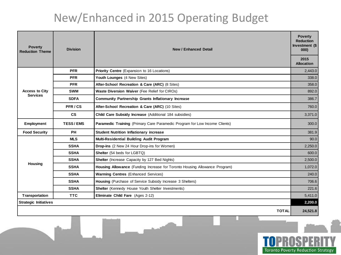## New/Enhanced in 2015 Operating Budget

| <b>Poverty</b><br><b>Reduction Theme</b> | <b>Division</b> | <b>New / Enhanced Detail</b>                                               | <b>Poverty</b><br><b>Reduction</b><br>Investment (\$<br>000) |  |
|------------------------------------------|-----------------|----------------------------------------------------------------------------|--------------------------------------------------------------|--|
|                                          |                 |                                                                            | 2015<br><b>Allocation</b>                                    |  |
| <b>Access to City</b><br><b>Services</b> | <b>PFR</b>      | Priority Centre (Expansion to 16 Locations)                                | 2,443.0                                                      |  |
|                                          | <b>PFR</b>      | Youth Lounges (4 New Sites)                                                | 338.0                                                        |  |
|                                          | <b>PFR</b>      | After-School Recreation & Care (ARC) (8 Sites)                             | 358.0                                                        |  |
|                                          | <b>SWM</b>      | Waste Diversion Waiver (Fee Relief for CIROs)                              | 892.0                                                        |  |
|                                          | <b>SDFA</b>     | <b>Community Partnership Grants Inflationary Increase</b>                  | 386.7                                                        |  |
|                                          | PFR/CS          | After-School Recreation & Care (ARC) (10 Sites)                            | 760.0                                                        |  |
|                                          | <b>CS</b>       | Child Care Subsidy Increase (Additional 184 subsidies)                     | 3,371.0                                                      |  |
| Employment                               | <b>TESS/EMS</b> | Paramedic Training (Primary Care Paramedic Program for Low Income Clients) | 300.0                                                        |  |
| <b>Food Security</b>                     | <b>PH</b>       | <b>Student Nutrition Inflationary increase</b>                             | 381.9                                                        |  |
| Housing                                  | <b>MLS</b>      | Multi-Residential Building Audit Program                                   | 90.0                                                         |  |
|                                          | <b>SSHA</b>     | Drop-ins (2 New 24 Hour Drop-ins for Women)                                | 2,250.0                                                      |  |
|                                          | <b>SSHA</b>     | Shelter (54 beds for LGBTQ)                                                | 600.0                                                        |  |
|                                          | <b>SSHA</b>     | Shelter (Increase Capacity by 127 Bed Nights)                              | 2,500.0                                                      |  |
|                                          | <b>SSHA</b>     | Housing Allowance (Funding Increase for Toronto Housing Allowance Program) | 1,072.0                                                      |  |
|                                          | <b>SSHA</b>     | Warming Centres (Enhanced Services)                                        | 240.0                                                        |  |
|                                          | <b>SSHA</b>     | Housing (Purchase of Service Subsidy Increase 3 Shelters)                  | 706.6                                                        |  |
|                                          | <b>SSHA</b>     | Shelter (Kennedy House Youth Shelter Investments)                          | 221.6                                                        |  |
| Transportation                           | <b>TTC</b>      | Eliminate Child Fare (Ages 2-12)                                           | 5,411.0                                                      |  |
| <b>Strategic Initiatives</b>             |                 |                                                                            |                                                              |  |
|                                          |                 | <b>TOTAL</b>                                                               | 24,521.8                                                     |  |

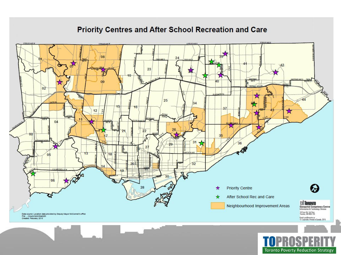#### **PAINT ART** STEELES AVE TER FRAME TEEL DO AN 08 24 23  $40$ 40  $02$ 25  $|34|$ 15 16 37  $12$  $\frac{a}{b}$ X ND  $04$ 26  $\overline{22}$ 24  $03$  $3<sub>5</sub>$  $31$ 36 29  $27$  $\mathcal{E}^{\mathcal{D}}$ 13 18  $\overline{32}$ 14  $30$ -06 28 **Priority Centre**  $\boldsymbol{\kappa}$ 含 After School Rec and Care ★ Neighbourhood Improvement Areas 18 Dyas Rd, 3rd Floor<br>Toronto, ON M3B 115 Data source: Location data provided by Deputy Mayor McConnell's office File: ... \Councillors\Ward28\<br>Created: Feburary 2015 Email: proBioronte.cn<br>- Canvright, Printed in Canada, 2015

**Toronto Poverty Reduction Strategy** 

### Priority Centres and After School Recreation and Care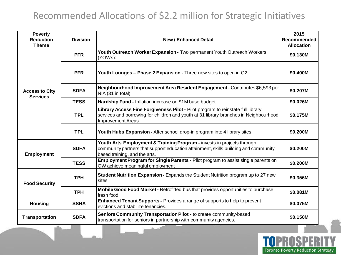### Recommended Allocations of \$2.2 million for Strategic Initiatives

| <b>Poverty</b><br><b>Reduction</b><br><b>Theme</b> | <b>Division</b> | <b>New / Enhanced Detail</b>                                                                                                                                                                         | 2015<br>Recommended<br><b>Allocation</b> |
|----------------------------------------------------|-----------------|------------------------------------------------------------------------------------------------------------------------------------------------------------------------------------------------------|------------------------------------------|
|                                                    | <b>PFR</b>      | Youth Outreach Worker Expansion - Two permanent Youth Outreach Workers<br>(YOWs):                                                                                                                    | \$0.130M                                 |
|                                                    | <b>PFR</b>      | Youth Lounges - Phase 2 Expansion - Three new sites to open in Q2.                                                                                                                                   | \$0.400M                                 |
| <b>Access to City</b><br><b>Services</b>           | <b>SDFA</b>     | Neighbourhood Improvement Area Resident Engagement - Contributes \$6,593 per<br>NIA (31 in total)                                                                                                    | \$0.207M                                 |
|                                                    | <b>TESS</b>     | Hardship Fund - Inflation increase on \$1M base budget                                                                                                                                               | \$0.026M                                 |
|                                                    | <b>TPL</b>      | Library Access Fine Forgiveness Pilot - Pilot program to reinstate full library<br>services and borrowing for children and youth at 31 library branches in Neighbourhood<br><b>Improvement Areas</b> | \$0.175M                                 |
|                                                    | <b>TPL</b>      | Youth Hubs Expansion - After school drop-in program into 4 library sites                                                                                                                             | \$0.200M                                 |
| <b>Employment</b>                                  | <b>SDFA</b>     | Youth Arts Employment & Training Program - invests in projects through<br>community partners that support education attainment, skills building and community<br>based training, and the arts.       | \$0.200M                                 |
|                                                    | <b>TESS</b>     | Employment Program for Single Parents - Pilot program to assist single parents on<br>OW achieve meaningful employment                                                                                | \$0.200M                                 |
| <b>Food Security</b>                               | <b>TPH</b>      | Student Nutrition Expansion - Expands the Student Nutrition program up to 27 new<br>sites                                                                                                            | \$0.356M                                 |
|                                                    | <b>TPH</b>      | Mobile Good Food Market - Retrofitted bus that provides opportunities to purchase<br>fresh food.                                                                                                     | \$0.081M                                 |
| <b>Housing</b>                                     | <b>SSHA</b>     | Enhanced Tenant Supports - Provides a range of supports to help to prevent<br>evictions and stabilize tenancies.                                                                                     | \$0.075M                                 |
| <b>Transportation</b>                              | <b>SDFA</b>     | Seniors Community Transportation Pilot - to create community-based<br>transportation for seniors in partnership with community agencies.                                                             | \$0.150M                                 |

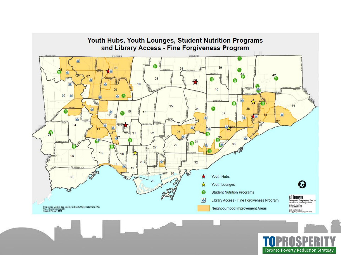

**Toronto Poverty Reduction Strategy**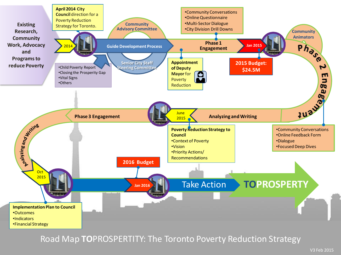

Road Map **TO**PROSPERTITY: The Toronto Poverty Reduction Strategy